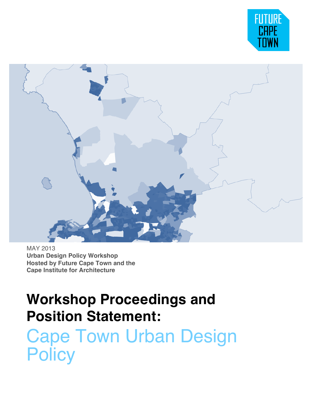



MAY 2013 **Urban Design Policy Workshop Hosted by Future Cape Town and the Cape Institute for Architecture**

# **Workshop Proceedings and Position Statement:**

Cape Town Urban Design **Policy**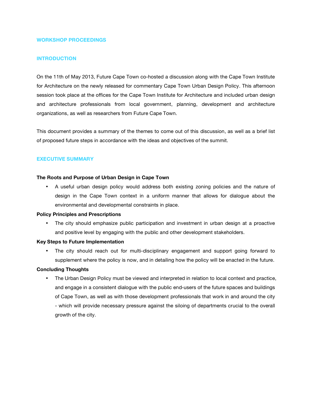## **WORKSHOP PROCEEDINGS**

## **INTRODUCTION**

On the 11th of May 2013, Future Cape Town co-hosted a discussion along with the Cape Town Institute for Architecture on the newly released for commentary Cape Town Urban Design Policy. This afternoon session took place at the offices for the Cape Town Institute for Architecture and included urban design and architecture professionals from local government, planning, development and architecture organizations, as well as researchers from Future Cape Town.

This document provides a summary of the themes to come out of this discussion, as well as a brief list of proposed future steps in accordance with the ideas and objectives of the summit.

#### **EXECUTIVE SUMMARY**

#### **The Roots and Purpose of Urban Design in Cape Town**

• A useful urban design policy would address both existing zoning policies and the nature of design in the Cape Town context in a uniform manner that allows for dialogue about the environmental and developmental constraints in place.

#### **Policy Principles and Prescriptions**

The city should emphasize public participation and investment in urban design at a proactive and positive level by engaging with the public and other development stakeholders.

#### **Key Steps to Future Implementation**

• The city should reach out for multi-disciplinary engagement and support going forward to supplement where the policy is now, and in detailing how the policy will be enacted in the future.

### **Concluding Thoughts**

• The Urban Design Policy must be viewed and interpreted in relation to local context and practice, and engage in a consistent dialogue with the public end-users of the future spaces and buildings of Cape Town, as well as with those development professionals that work in and around the city - which will provide necessary pressure against the siloing of departments crucial to the overall growth of the city.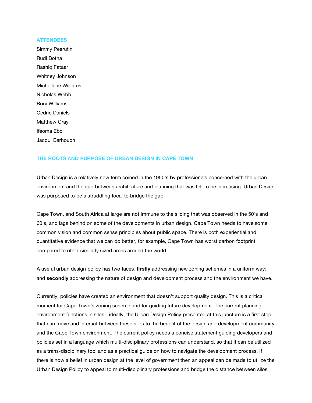#### **ATTENDEES**

Simmy Peerutin Rudi Botha Rashiq Fataar Whitney Johnson Michellene Williams Nicholas Webb Rory Williams Cedric Daniels Matthew Gray Ifeoma Ebo Jacqui Barhouch

#### **THE ROOTS AND PURPOSE OF URBAN DESIGN IN CAPE TOWN**

Urban Design is a relatively new term coined in the 1950's by professionals concerned with the urban environment and the gap between architecture and planning that was felt to be increasing. Urban Design was purposed to be a straddling focal to bridge the gap.

Cape Town, and South Africa at large are not immune to the siloing that was observed in the 50's and 60's, and lags behind on some of the developments in urban design. Cape Town needs to have some common vision and common sense principles about public space. There is both experiential and quantitative evidence that we can do better, for example, Cape Town has worst carbon footprint compared to other similarly sized areas around the world.

A useful urban design policy has two faces, **firstly** addressing new zoning schemes in a uniform way; and **secondly** addressing the nature of design and development process and the environment we have.

Currently, policies have created an environment that doesn't support quality design. This is a critical moment for Cape Town's zoning scheme and for guiding future development. The current planning environment functions in silos - ideally, the Urban Design Policy presented at this juncture is a first step that can move and interact between these silos to the benefit of the design and development community and the Cape Town environment. The current policy needs a concise statement guiding developers and policies set in a language which multi-disciplinary professions can understand, so that it can be utilized as a trans-disciplinary tool and as a practical guide on how to navigate the development process. If there is now a belief in urban design at the level of government then an appeal can be made to utilize the Urban Design Policy to appeal to multi-disciplinary professions and bridge the distance between silos.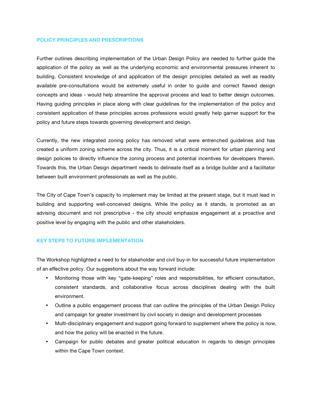## **POLICY PRINCIPLES AND PRESCRIPTIONS**

Further outlines describing implementation of the Urban Design Policy are needed to further guide the application of the policy as well as the underlying economic and environmental pressures inherent to building. Consistent knowledge of and application of the design principles detailed as well as readily available pre-consultations would be extremely useful in order to guide and correct flawed design concepts and ideas - would help streamline the approval process and lead to better design outcomes. Having guiding principles in place along with clear guidelines for the implementation of the policy and consistent application of these principles across professions would greatly help garner support for the policy and future steps towards governing development and design.

Currently, the new integrated zoning policy has removed what were entrenched guidelines and has created a uniform zoning scheme across the city. Thus, it is a critical moment for urban planning and design policies to directly influence the zoning process and potential incentives for developers therein. Towards this, the Urban Design department needs to delineate itself as a bridge builder and a facilitator between built environment professionals as well as the public.

The City of Cape Town's capacity to implement may be limited at the present stage, but it must lead in building and supporting well-conceived designs. While the policy as it stands, is promoted as an advising document and not prescriptive - the city should emphasize engagement at a proactive and positive level by engaging with the public and other stakeholders.

#### **KEY STEPS TO FUTURE IMPLEMENTATION**

The Workshop highlighted a need to for stakeholder and civil buy-in for successful future implementation of an effective policy. Our suggestions about the way forward include:

- Monitoring those with key "gate-keeping" roles and responsibilities, for efficient consultation, consistent standards, and collaborative focus across disciplines dealing with the built environment.
- Outline a public engagement process that can outline the principles of the Urban Design Policy and campaign for greater investment by civil society in design and development processes
- Multi-disciplinary engagement and support going forward to supplement where the policy is now, and how the policy will be enacted in the future.
- Campaign for public debates and greater political education in regards to design principles within the Cape Town context.